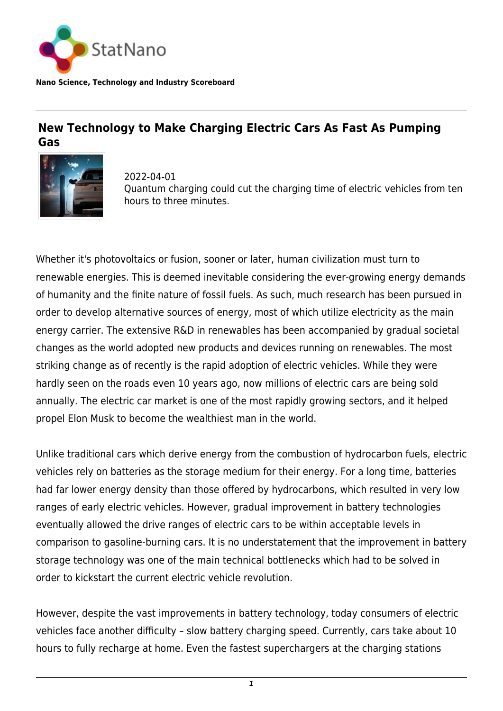

**Nano Science, Technology and Industry Scoreboard**

## **New Technology to Make Charging Electric Cars As Fast As Pumping Gas**



2022-04-01 Quantum charging could cut the charging time of electric vehicles from ten hours to three minutes.

Whether it's photovoltaics or fusion, sooner or later, human civilization must turn to renewable energies. This is deemed inevitable considering the ever-growing energy demands of humanity and the finite nature of fossil fuels. As such, much research has been pursued in order to develop alternative sources of energy, most of which utilize electricity as the main energy carrier. The extensive R&D in renewables has been accompanied by gradual societal changes as the world adopted new products and devices running on renewables. The most striking change as of recently is the rapid adoption of electric vehicles. While they were hardly seen on the roads even 10 years ago, now millions of electric cars are being sold annually. The electric car market is one of the most rapidly growing sectors, and it helped propel Elon Musk to become the wealthiest man in the world.

Unlike traditional cars which derive energy from the combustion of hydrocarbon fuels, electric vehicles rely on batteries as the storage medium for their energy. For a long time, batteries had far lower energy density than those offered by hydrocarbons, which resulted in very low ranges of early electric vehicles. However, gradual improvement in battery technologies eventually allowed the drive ranges of electric cars to be within acceptable levels in comparison to gasoline-burning cars. It is no understatement that the improvement in battery storage technology was one of the main technical bottlenecks which had to be solved in order to kickstart the current electric vehicle revolution.

However, despite the vast improvements in battery technology, today consumers of electric vehicles face another difficulty – slow battery charging speed. Currently, cars take about 10 hours to fully recharge at home. Even the fastest superchargers at the charging stations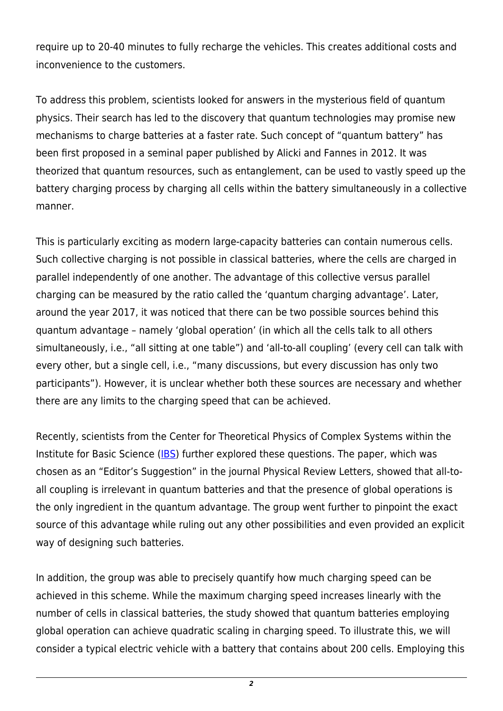require up to 20-40 minutes to fully recharge the vehicles. This creates additional costs and inconvenience to the customers.

To address this problem, scientists looked for answers in the mysterious field of quantum physics. Their search has led to the discovery that quantum technologies may promise new mechanisms to charge batteries at a faster rate. Such concept of "quantum battery" has been first proposed in a seminal paper published by Alicki and Fannes in 2012. It was theorized that quantum resources, such as entanglement, can be used to vastly speed up the battery charging process by charging all cells within the battery simultaneously in a collective manner.

This is particularly exciting as modern large-capacity batteries can contain numerous cells. Such collective charging is not possible in classical batteries, where the cells are charged in parallel independently of one another. The advantage of this collective versus parallel charging can be measured by the ratio called the 'quantum charging advantage'. Later, around the year 2017, it was noticed that there can be two possible sources behind this quantum advantage – namely 'global operation' (in which all the cells talk to all others simultaneously, i.e., "all sitting at one table") and 'all-to-all coupling' (every cell can talk with every other, but a single cell, i.e., "many discussions, but every discussion has only two participants"). However, it is unclear whether both these sources are necessary and whether there are any limits to the charging speed that can be achieved.

Recently, scientists from the Center for Theoretical Physics of Complex Systems within the Institute for Basic Science ([IBS](https://www.ibs.re.kr/eng.do)) further explored these questions. The paper, which was chosen as an "Editor's Suggestion" in the journal Physical Review Letters, showed that all-toall coupling is irrelevant in quantum batteries and that the presence of global operations is the only ingredient in the quantum advantage. The group went further to pinpoint the exact source of this advantage while ruling out any other possibilities and even provided an explicit way of designing such batteries.

In addition, the group was able to precisely quantify how much charging speed can be achieved in this scheme. While the maximum charging speed increases linearly with the number of cells in classical batteries, the study showed that quantum batteries employing global operation can achieve quadratic scaling in charging speed. To illustrate this, we will consider a typical electric vehicle with a battery that contains about 200 cells. Employing this